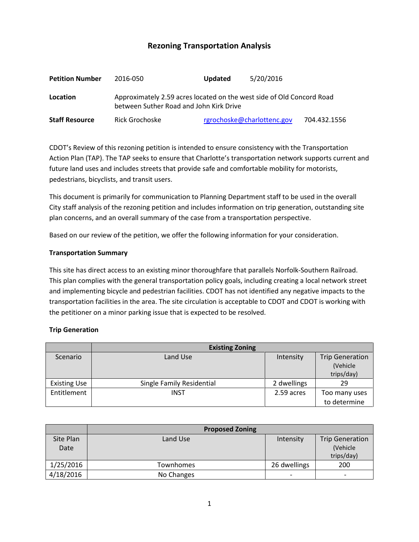# **Rezoning Transportation Analysis**

| <b>Petition Number</b> | 2016-050                                                                                                         | 5/20/2016<br><b>Updated</b> |              |  |  |
|------------------------|------------------------------------------------------------------------------------------------------------------|-----------------------------|--------------|--|--|
| Location               | Approximately 2.59 acres located on the west side of Old Concord Road<br>between Suther Road and John Kirk Drive |                             |              |  |  |
| <b>Staff Resource</b>  | Rick Grochoske                                                                                                   | rgrochoske@charlottenc.gov  | 704.432.1556 |  |  |

CDOT's Review of this rezoning petition is intended to ensure consistency with the Transportation Action Plan (TAP). The TAP seeks to ensure that Charlotte's transportation network supports current and future land uses and includes streets that provide safe and comfortable mobility for motorists, pedestrians, bicyclists, and transit users.

This document is primarily for communication to Planning Department staff to be used in the overall City staff analysis of the rezoning petition and includes information on trip generation, outstanding site plan concerns, and an overall summary of the case from a transportation perspective.

Based on our review of the petition, we offer the following information for your consideration.

#### **Transportation Summary**

This site has direct access to an existing minor thoroughfare that parallels Norfolk-Southern Railroad. This plan complies with the general transportation policy goals, including creating a local network street and implementing bicycle and pedestrian facilities. CDOT has not identified any negative impacts to the transportation facilities in the area. The site circulation is acceptable to CDOT and CDOT is working with the petitioner on a minor parking issue that is expected to be resolved.

### **Trip Generation**

|                     | <b>Existing Zoning</b>    |             |                                                  |  |  |
|---------------------|---------------------------|-------------|--------------------------------------------------|--|--|
| Scenario            | Land Use                  | Intensity   | <b>Trip Generation</b><br>(Vehicle<br>trips/day) |  |  |
| <b>Existing Use</b> | Single Family Residential | 2 dwellings | 29                                               |  |  |
| Entitlement         | INST                      | 2.59 acres  | Too many uses                                    |  |  |
|                     |                           |             | to determine                                     |  |  |

|           | <b>Proposed Zoning</b> |              |                          |
|-----------|------------------------|--------------|--------------------------|
| Site Plan | Land Use               | Intensity    | <b>Trip Generation</b>   |
| Date      |                        |              | (Vehicle                 |
|           |                        |              | trips/day)               |
| 1/25/2016 | Townhomes              | 26 dwellings | 200                      |
| 4/18/2016 | No Changes             | -            | $\overline{\phantom{0}}$ |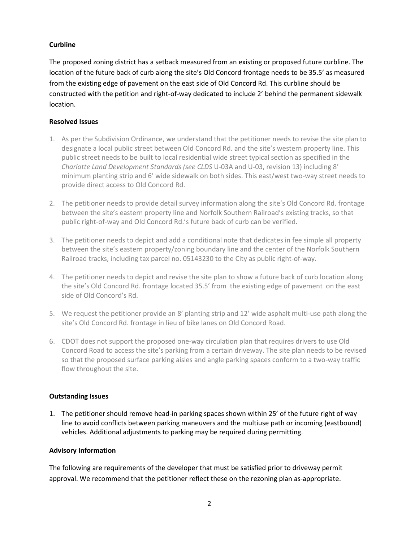## **Curbline**

The proposed zoning district has a setback measured from an existing or proposed future curbline. The location of the future back of curb along the site's Old Concord frontage needs to be 35.5' as measured from the existing edge of pavement on the east side of Old Concord Rd. This curbline should be constructed with the petition and right-of-way dedicated to include 2' behind the permanent sidewalk location.

### **Resolved Issues**

- 1. As per the Subdivision Ordinance, we understand that the petitioner needs to revise the site plan to designate a local public street between Old Concord Rd. and the site's western property line. This public street needs to be built to local residential wide street typical section as specified in the *Charlotte Land Development Standards (see CLDS* U-03A and U-03, revision 13) including 8' minimum planting strip and 6' wide sidewalk on both sides. This east/west two-way street needs to provide direct access to Old Concord Rd.
- 2. The petitioner needs to provide detail survey information along the site's Old Concord Rd. frontage between the site's eastern property line and Norfolk Southern Railroad's existing tracks, so that public right-of-way and Old Concord Rd.'s future back of curb can be verified.
- 3. The petitioner needs to depict and add a conditional note that dedicates in fee simple all property between the site's eastern property/zoning boundary line and the center of the Norfolk Southern Railroad tracks, including tax parcel no. 05143230 to the City as public right-of-way.
- 4. The petitioner needs to depict and revise the site plan to show a future back of curb location along the site's Old Concord Rd. frontage located 35.5' from the existing edge of pavement on the east side of Old Concord's Rd.
- 5. We request the petitioner provide an 8' planting strip and 12' wide asphalt multi-use path along the site's Old Concord Rd. frontage in lieu of bike lanes on Old Concord Road.
- 6. CDOT does not support the proposed one-way circulation plan that requires drivers to use Old Concord Road to access the site's parking from a certain driveway. The site plan needs to be revised so that the proposed surface parking aisles and angle parking spaces conform to a two-way traffic flow throughout the site.

### **Outstanding Issues**

1. The petitioner should remove head-in parking spaces shown within 25' of the future right of way line to avoid conflicts between parking maneuvers and the multiuse path or incoming (eastbound) vehicles. Additional adjustments to parking may be required during permitting.

### **Advisory Information**

The following are requirements of the developer that must be satisfied prior to driveway permit approval. We recommend that the petitioner reflect these on the rezoning plan as-appropriate.